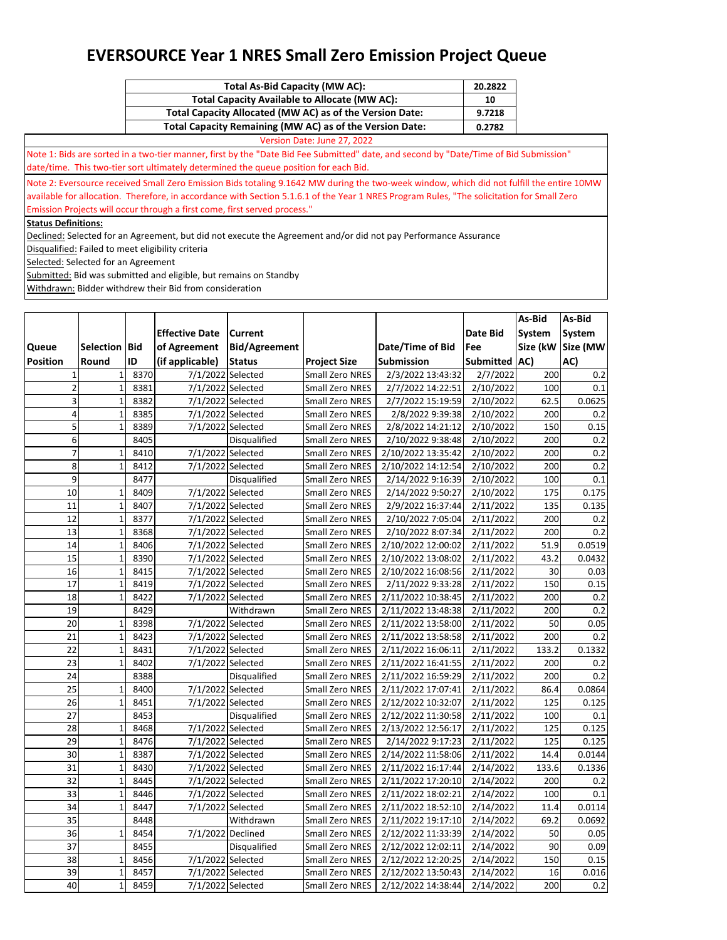| Total As-Bid Capacity (MW AC):                           | 20.2822 |
|----------------------------------------------------------|---------|
| <b>Total Capacity Available to Allocate (MW AC):</b>     | 10      |
| Total Capacity Allocated (MW AC) as of the Version Date: | 9.7218  |
| Total Capacity Remaining (MW AC) as of the Version Date: | 0.2782  |

Version Date: June 27, 2022 Note 1: Bids are sorted in a two-tier manner, first by the "Date Bid Fee Submitted" date, and second by "Date/Time of Bid Submission" date/time. This two-tier sort ultimately determined the queue position for each Bid.

Note 2: Eversource received Small Zero Emission Bids totaling 9.1642 MW during the two-week window, which did not fulfill the entire 10MW available for allocation. Therefore, in accordance with Section 5.1.6.1 of the Year 1 NRES Program Rules, "The solicitation for Small Zero Emission Projects will occur through a first come, first served process."

**Status Definitions:**

Declined: Selected for an Agreement, but did not execute the Agreement and/or did not pay Performance Assurance

Disqualified: Failed to meet eligibility criteria

Selected: Selected for an Agreement

Submitted: Bid was submitted and eligible, but remains on Standby

|                 |                      |      |                       |                      |                        |                    |               | As-Bid | As-Bid            |
|-----------------|----------------------|------|-----------------------|----------------------|------------------------|--------------------|---------------|--------|-------------------|
|                 |                      |      | <b>Effective Date</b> | <b>Current</b>       |                        |                    | Date Bid      | System | System            |
| Queue           | <b>Selection Bid</b> |      | of Agreement          | <b>Bid/Agreement</b> |                        | Date/Time of Bid   | Fee           |        | Size (kW Size (MW |
| <b>Position</b> | Round                | ID   | (if applicable)       | <b>Status</b>        | <b>Project Size</b>    | <b>Submission</b>  | Submitted AC) |        | AC)               |
| $\mathbf 1$     | $\mathbf 1$          | 8370 | 7/1/2022 Selected     |                      | Small Zero NRES        | 2/3/2022 13:43:32  | 2/7/2022      | 200    | 0.2               |
| $\overline{2}$  | $\mathbf 1$          | 8381 | 7/1/2022 Selected     |                      | Small Zero NRES        | 2/7/2022 14:22:51  | 2/10/2022     | 100    | 0.1               |
| 3               | $\mathbf 1$          | 8382 | 7/1/2022 Selected     |                      | Small Zero NRES        | 2/7/2022 15:19:59  | 2/10/2022     | 62.5   | 0.0625            |
| 4               | $\mathbf{1}$         | 8385 | 7/1/2022 Selected     |                      | Small Zero NRES        | 2/8/2022 9:39:38   | 2/10/2022     | 200    | 0.2               |
| 5               | $\mathbf 1$          | 8389 | 7/1/2022 Selected     |                      | Small Zero NRES        | 2/8/2022 14:21:12  | 2/10/2022     | 150    | 0.15              |
| 6               |                      | 8405 |                       | <b>Disqualified</b>  | Small Zero NRES        | 2/10/2022 9:38:48  | 2/10/2022     | 200    | 0.2               |
| $\overline{7}$  | $\mathbf{1}$         | 8410 | 7/1/2022 Selected     |                      | Small Zero NRES        | 2/10/2022 13:35:42 | 2/10/2022     | 200    | 0.2               |
| 8               | $\mathbf 1$          | 8412 | 7/1/2022 Selected     |                      | Small Zero NRES        | 2/10/2022 14:12:54 | 2/10/2022     | 200    | 0.2               |
| 9               |                      | 8477 |                       | <b>Disqualified</b>  | Small Zero NRES        | 2/14/2022 9:16:39  | 2/10/2022     | 100    | 0.1               |
| 10              | $\mathbf{1}$         | 8409 | 7/1/2022 Selected     |                      | Small Zero NRES        | 2/14/2022 9:50:27  | 2/10/2022     | 175    | 0.175             |
| 11              | $\mathbf{1}$         | 8407 | 7/1/2022 Selected     |                      | Small Zero NRES        | 2/9/2022 16:37:44  | 2/11/2022     | 135    | 0.135             |
| 12              | $\mathbf{1}$         | 8377 | 7/1/2022 Selected     |                      | Small Zero NRES        | 2/10/2022 7:05:04  | 2/11/2022     | 200    | 0.2               |
| 13              | $\mathbf 1$          | 8368 | 7/1/2022 Selected     |                      | Small Zero NRES        | 2/10/2022 8:07:34  | 2/11/2022     | 200    | 0.2               |
| 14              | $\mathbf{1}$         | 8406 | 7/1/2022 Selected     |                      | Small Zero NRES        | 2/10/2022 12:00:02 | 2/11/2022     | 51.9   | 0.0519            |
| 15              | $\mathbf 1$          | 8390 | 7/1/2022 Selected     |                      | Small Zero NRES        | 2/10/2022 13:08:02 | 2/11/2022     | 43.2   | 0.0432            |
| 16              | $\mathbf 1$          | 8415 | 7/1/2022 Selected     |                      | Small Zero NRES        | 2/10/2022 16:08:56 | 2/11/2022     | 30     | 0.03              |
| 17              | $\mathbf 1$          | 8419 | 7/1/2022 Selected     |                      | Small Zero NRES        | 2/11/2022 9:33:28  | 2/11/2022     | 150    | 0.15              |
| 18              | $\mathbf 1$          | 8422 | 7/1/2022 Selected     |                      | Small Zero NRES        | 2/11/2022 10:38:45 | 2/11/2022     | 200    | 0.2               |
| 19              |                      | 8429 |                       | Withdrawn            | Small Zero NRES        | 2/11/2022 13:48:38 | 2/11/2022     | 200    | 0.2               |
| 20              | $\mathbf 1$          | 8398 | 7/1/2022 Selected     |                      | Small Zero NRES        | 2/11/2022 13:58:00 | 2/11/2022     | 50     | 0.05              |
| 21              | $\mathbf 1$          | 8423 | 7/1/2022 Selected     |                      | Small Zero NRES        | 2/11/2022 13:58:58 | 2/11/2022     | 200    | 0.2               |
| $\overline{22}$ | $\mathbf 1$          | 8431 | 7/1/2022 Selected     |                      | Small Zero NRES        | 2/11/2022 16:06:11 | 2/11/2022     | 133.2  | 0.1332            |
| 23              | $\mathbf 1$          | 8402 | 7/1/2022 Selected     |                      | Small Zero NRES        | 2/11/2022 16:41:55 | 2/11/2022     | 200    | 0.2               |
| 24              |                      | 8388 |                       | Disqualified         | Small Zero NRES        | 2/11/2022 16:59:29 | 2/11/2022     | 200    | 0.2               |
| $\overline{25}$ | $\mathbf{1}$         | 8400 | 7/1/2022 Selected     |                      | Small Zero NRES        | 2/11/2022 17:07:41 | 2/11/2022     | 86.4   | 0.0864            |
| 26              | $\mathbf 1$          | 8451 | 7/1/2022 Selected     |                      | Small Zero NRES        | 2/12/2022 10:32:07 | 2/11/2022     | 125    | 0.125             |
| $\overline{27}$ |                      | 8453 |                       | Disqualified         | Small Zero NRES        | 2/12/2022 11:30:58 | 2/11/2022     | 100    | 0.1               |
| 28              | $\mathbf 1$          | 8468 | 7/1/2022 Selected     |                      | Small Zero NRES        | 2/13/2022 12:56:17 | 2/11/2022     | 125    | 0.125             |
| 29              | $\mathbf 1$          | 8476 | 7/1/2022 Selected     |                      | Small Zero NRES        | 2/14/2022 9:17:23  | 2/11/2022     | 125    | 0.125             |
| 30              | $\mathbf 1$          | 8387 | 7/1/2022 Selected     |                      | Small Zero NRES        | 2/14/2022 11:58:06 | 2/11/2022     | 14.4   | 0.0144            |
| 31              | $\mathbf 1$          | 8430 | 7/1/2022 Selected     |                      | Small Zero NRES        | 2/11/2022 16:17:44 | 2/14/2022     | 133.6  | 0.1336            |
| 32              | $\mathbf{1}$         | 8445 | 7/1/2022 Selected     |                      | Small Zero NRES        | 2/11/2022 17:20:10 | 2/14/2022     | 200    | 0.2               |
| 33              | $\mathbf 1$          | 8446 | 7/1/2022 Selected     |                      | Small Zero NRES        | 2/11/2022 18:02:21 | 2/14/2022     | 100    | 0.1               |
| 34              | $\mathbf 1$          | 8447 | 7/1/2022 Selected     |                      | Small Zero NRES        | 2/11/2022 18:52:10 | 2/14/2022     | 11.4   | 0.0114            |
| 35              |                      | 8448 |                       | Withdrawn            | Small Zero NRES        | 2/11/2022 19:17:10 | 2/14/2022     | 69.2   | 0.0692            |
| 36              | $\mathbf{1}$         | 8454 | 7/1/2022 Declined     |                      | Small Zero NRES        | 2/12/2022 11:33:39 | 2/14/2022     | 50     | 0.05              |
| $\overline{37}$ |                      | 8455 |                       | Disqualified         | Small Zero NRES        | 2/12/2022 12:02:11 | 2/14/2022     | 90     | 0.09              |
| 38              | $\mathbf{1}$         | 8456 | 7/1/2022 Selected     |                      | <b>Small Zero NRES</b> | 2/12/2022 12:20:25 | 2/14/2022     | 150    | 0.15              |
| $\overline{39}$ | $\mathbf 1$          | 8457 | 7/1/2022 Selected     |                      | Small Zero NRES        | 2/12/2022 13:50:43 | 2/14/2022     | 16     | 0.016             |
| 40              | $\mathbf 1$          | 8459 | 7/1/2022 Selected     |                      | <b>Small Zero NRES</b> | 2/12/2022 14:38:44 | 2/14/2022     | 200    | $0.2\,$           |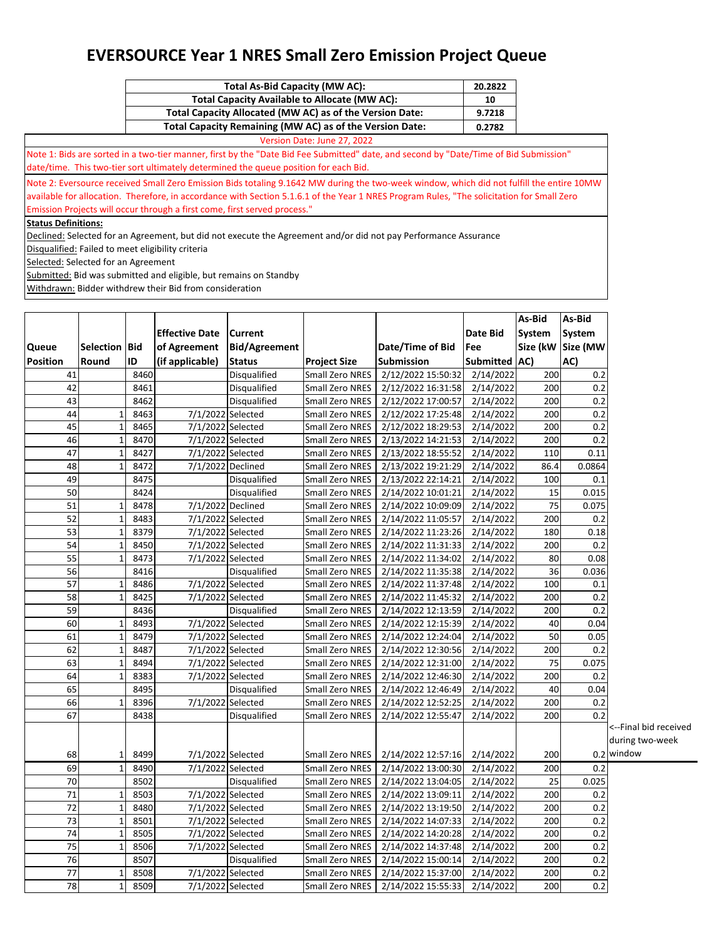| Total As-Bid Capacity (MW AC):                           | 20.2822 |
|----------------------------------------------------------|---------|
| Total Capacity Available to Allocate (MW AC):            | 10      |
| Total Capacity Allocated (MW AC) as of the Version Date: | 9.7218  |
| Total Capacity Remaining (MW AC) as of the Version Date: | 0.2782  |

Version Date: June 27, 2022 Note 1: Bids are sorted in a two-tier manner, first by the "Date Bid Fee Submitted" date, and second by "Date/Time of Bid Submission" date/time. This two-tier sort ultimately determined the queue position for each Bid.

Note 2: Eversource received Small Zero Emission Bids totaling 9.1642 MW during the two-week window, which did not fulfill the entire 10MW available for allocation. Therefore, in accordance with Section 5.1.6.1 of the Year 1 NRES Program Rules, "The solicitation for Small Zero Emission Projects will occur through a first come, first served process."

**Status Definitions:**

Declined: Selected for an Agreement, but did not execute the Agreement and/or did not pay Performance Assurance

Disqualified: Failed to meet eligibility criteria

Selected: Selected for an Agreement

Submitted: Bid was submitted and eligible, but remains on Standby

|                 |               |      |                       |                      |                        |                    |                  | As-Bid | As-Bid            |                       |
|-----------------|---------------|------|-----------------------|----------------------|------------------------|--------------------|------------------|--------|-------------------|-----------------------|
|                 |               |      | <b>Effective Date</b> | <b>Current</b>       |                        |                    | Date Bid         | System | System            |                       |
| Queue           | Selection Bid |      | of Agreement          | <b>Bid/Agreement</b> |                        | Date/Time of Bid   | Fee              |        | Size (kW Size (MW |                       |
| <b>Position</b> | Round         | ID   | (if applicable)       | <b>Status</b>        | <b>Project Size</b>    | Submission         | <b>Submitted</b> | AC)    | AC)               |                       |
| 41              |               | 8460 |                       | Disqualified         | Small Zero NRES        | 2/12/2022 15:50:32 | 2/14/2022        | 200    | 0.2               |                       |
| 42              |               | 8461 |                       | Disqualified         | Small Zero NRES        | 2/12/2022 16:31:58 | 2/14/2022        | 200    | 0.2               |                       |
| 43              |               | 8462 |                       | Disqualified         | Small Zero NRES        | 2/12/2022 17:00:57 | 2/14/2022        | 200    | 0.2               |                       |
| 44              | $\mathbf{1}$  | 8463 | 7/1/2022 Selected     |                      | Small Zero NRES        | 2/12/2022 17:25:48 | 2/14/2022        | 200    | 0.2               |                       |
| 45              | $\mathbf{1}$  | 8465 | 7/1/2022 Selected     |                      | Small Zero NRES        | 2/12/2022 18:29:53 | 2/14/2022        | 200    | 0.2               |                       |
| 46              | 1             | 8470 | 7/1/2022 Selected     |                      | Small Zero NRES        | 2/13/2022 14:21:53 | 2/14/2022        | 200    | 0.2               |                       |
| 47              | $\mathbf{1}$  | 8427 |                       | 7/1/2022 Selected    | Small Zero NRES        | 2/13/2022 18:55:52 | 2/14/2022        | 110    | 0.11              |                       |
| 48              | $\mathbf{1}$  | 8472 |                       | 7/1/2022 Declined    | Small Zero NRES        | 2/13/2022 19:21:29 | 2/14/2022        | 86.4   | 0.0864            |                       |
| 49              |               | 8475 |                       | Disqualified         | Small Zero NRES        | 2/13/2022 22:14:21 | 2/14/2022        | 100    | 0.1               |                       |
| 50              |               | 8424 |                       | Disqualified         | Small Zero NRES        | 2/14/2022 10:01:21 | 2/14/2022        | 15     | 0.015             |                       |
| 51              | 1             | 8478 |                       | 7/1/2022 Declined    | Small Zero NRES        | 2/14/2022 10:09:09 | 2/14/2022        | 75     | 0.075             |                       |
| 52              | $\mathbf{1}$  | 8483 | 7/1/2022 Selected     |                      | Small Zero NRES        | 2/14/2022 11:05:57 | 2/14/2022        | 200    | 0.2               |                       |
| 53              | $\mathbf{1}$  | 8379 |                       | 7/1/2022 Selected    | Small Zero NRES        | 2/14/2022 11:23:26 | 2/14/2022        | 180    | 0.18              |                       |
| 54              | $\mathbf{1}$  | 8450 | 7/1/2022 Selected     |                      | Small Zero NRES        | 2/14/2022 11:31:33 | 2/14/2022        | 200    | 0.2               |                       |
| 55              | $\mathbf 1$   | 8473 | 7/1/2022 Selected     |                      | Small Zero NRES        | 2/14/2022 11:34:02 | 2/14/2022        | 80     | 0.08              |                       |
| 56              |               | 8416 |                       | Disqualified         | Small Zero NRES        | 2/14/2022 11:35:38 | 2/14/2022        | 36     | 0.036             |                       |
| 57              | 1             | 8486 |                       | 7/1/2022 Selected    | Small Zero NRES        | 2/14/2022 11:37:48 | 2/14/2022        | 100    | 0.1               |                       |
| 58              | $\mathbf{1}$  | 8425 | 7/1/2022 Selected     |                      | Small Zero NRES        | 2/14/2022 11:45:32 | 2/14/2022        | 200    | 0.2               |                       |
| 59              |               | 8436 |                       | Disqualified         | Small Zero NRES        | 2/14/2022 12:13:59 | 2/14/2022        | 200    | 0.2               |                       |
| 60              | 1             | 8493 | 7/1/2022 Selected     |                      | Small Zero NRES        | 2/14/2022 12:15:39 | 2/14/2022        | 40     | 0.04              |                       |
| 61              | $\mathbf{1}$  | 8479 | 7/1/2022 Selected     |                      | Small Zero NRES        | 2/14/2022 12:24:04 | 2/14/2022        | 50     | 0.05              |                       |
| 62              | $\mathbf{1}$  | 8487 |                       | 7/1/2022 Selected    | Small Zero NRES        | 2/14/2022 12:30:56 | 2/14/2022        | 200    | 0.2               |                       |
| 63              | $\mathbf{1}$  | 8494 | 7/1/2022 Selected     |                      | Small Zero NRES        | 2/14/2022 12:31:00 | 2/14/2022        | 75     | 0.075             |                       |
| 64              | $\mathbf{1}$  | 8383 | 7/1/2022 Selected     |                      | Small Zero NRES        | 2/14/2022 12:46:30 | 2/14/2022        | 200    | 0.2               |                       |
| 65              |               | 8495 |                       | Disqualified         | Small Zero NRES        | 2/14/2022 12:46:49 | 2/14/2022        | 40     | 0.04              |                       |
| 66              | 1             | 8396 |                       | 7/1/2022 Selected    | Small Zero NRES        | 2/14/2022 12:52:25 | 2/14/2022        | 200    | 0.2               |                       |
| 67              |               | 8438 |                       | <b>Disqualified</b>  | Small Zero NRES        | 2/14/2022 12:55:47 | 2/14/2022        | 200    | 0.2               |                       |
|                 |               |      |                       |                      |                        |                    |                  |        |                   | <--Final bid received |
|                 |               |      |                       |                      |                        |                    |                  |        |                   | during two-week       |
| 68              | 1             | 8499 |                       | 7/1/2022 Selected    | Small Zero NRES        | 2/14/2022 12:57:16 | 2/14/2022        | 200    |                   | 0.2 window            |
| 69              | $\mathbf{1}$  | 8490 | 7/1/2022 Selected     |                      | Small Zero NRES        | 2/14/2022 13:00:30 | 2/14/2022        | 200    | 0.2               |                       |
| 70              |               | 8502 |                       | Disqualified         | Small Zero NRES        | 2/14/2022 13:04:05 | 2/14/2022        | 25     | 0.025             |                       |
| 71              | $\mathbf{1}$  | 8503 | 7/1/2022 Selected     |                      | Small Zero NRES        | 2/14/2022 13:09:11 | 2/14/2022        | 200    | 0.2               |                       |
| 72              | $\mathbf{1}$  | 8480 |                       | 7/1/2022 Selected    | Small Zero NRES        | 2/14/2022 13:19:50 | 2/14/2022        | 200    | 0.2               |                       |
| 73              | 1             | 8501 | 7/1/2022 Selected     |                      | <b>Small Zero NRES</b> | 2/14/2022 14:07:33 | 2/14/2022        | 200    | 0.2               |                       |
| 74              | $\mathbf{1}$  | 8505 | 7/1/2022 Selected     |                      | Small Zero NRES        | 2/14/2022 14:20:28 | 2/14/2022        | 200    | 0.2               |                       |
| 75              | $\mathbf{1}$  | 8506 | 7/1/2022 Selected     |                      | Small Zero NRES        | 2/14/2022 14:37:48 | 2/14/2022        | 200    | 0.2               |                       |
| 76              |               | 8507 |                       | Disqualified         | Small Zero NRES        | 2/14/2022 15:00:14 | 2/14/2022        | 200    | 0.2               |                       |
| $\overline{77}$ | 1             | 8508 |                       | 7/1/2022 Selected    | Small Zero NRES        | 2/14/2022 15:37:00 | 2/14/2022        | 200    | 0.2               |                       |
| 78              | $\mathbf{1}$  | 8509 | 7/1/2022 Selected     |                      | Small Zero NRES        | 2/14/2022 15:55:33 | 2/14/2022        | 200    | 0.2               |                       |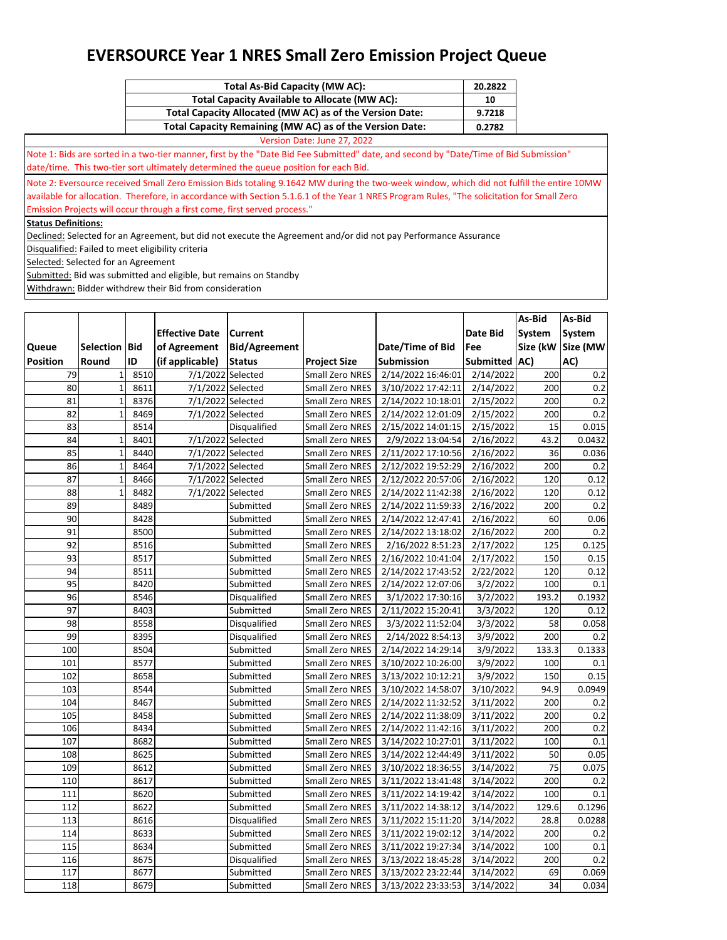| Total As-Bid Capacity (MW AC):                           | 20.2822 |
|----------------------------------------------------------|---------|
| <b>Total Capacity Available to Allocate (MW AC):</b>     | 10      |
| Total Capacity Allocated (MW AC) as of the Version Date: | 9.7218  |
| Total Capacity Remaining (MW AC) as of the Version Date: | 0.2782  |

Version Date: June 27, 2022 Note 1: Bids are sorted in a two-tier manner, first by the "Date Bid Fee Submitted" date, and second by "Date/Time of Bid Submission" date/time. This two-tier sort ultimately determined the queue position for each Bid.

Note 2: Eversource received Small Zero Emission Bids totaling 9.1642 MW during the two-week window, which did not fulfill the entire 10MW available for allocation. Therefore, in accordance with Section 5.1.6.1 of the Year 1 NRES Program Rules, "The solicitation for Small Zero Emission Projects will occur through a first come, first served process."

**Status Definitions:**

Declined: Selected for an Agreement, but did not execute the Agreement and/or did not pay Performance Assurance

Disqualified: Failed to meet eligibility criteria

Selected: Selected for an Agreement

Submitted: Bid was submitted and eligible, but remains on Standby

|                 |               |      |                       |                      |                        |                    |                        | As-Bid   | As-Bid   |
|-----------------|---------------|------|-----------------------|----------------------|------------------------|--------------------|------------------------|----------|----------|
|                 |               |      | <b>Effective Date</b> | Current              |                        |                    | Date Bid               | System   | System   |
| Queue           | Selection Bid |      | of Agreement          | <b>Bid/Agreement</b> |                        | Date/Time of Bid   | Fee                    | Size (kW | Size (MW |
| <b>Position</b> | Round         | ID   | (if applicable)       | <b>Status</b>        | <b>Project Size</b>    | <b>Submission</b>  | Submitted AC)          |          | AC)      |
| 79              | $\mathbf 1$   | 8510 | 7/1/2022 Selected     |                      | Small Zero NRES        | 2/14/2022 16:46:01 | $\frac{1}{2}$ /14/2022 | 200      | 0.2      |
| 80              | $\mathbf 1$   | 8611 | 7/1/2022 Selected     |                      | Small Zero NRES        | 3/10/2022 17:42:11 | 2/14/2022              | 200      | $0.2\,$  |
| 81              | $\mathbf 1$   | 8376 | 7/1/2022 Selected     |                      | Small Zero NRES        | 2/14/2022 10:18:01 | 2/15/2022              | 200      | 0.2      |
| 82              | $\mathbf{1}$  | 8469 | 7/1/2022 Selected     |                      | Small Zero NRES        | 2/14/2022 12:01:09 | 2/15/2022              | 200      | 0.2      |
| 83              |               | 8514 |                       | Disqualified         | Small Zero NRES        | 2/15/2022 14:01:15 | 2/15/2022              | 15       | 0.015    |
| 84              | $\mathbf 1$   | 8401 | 7/1/2022 Selected     |                      | Small Zero NRES        | 2/9/2022 13:04:54  | 2/16/2022              | 43.2     | 0.0432   |
| 85              | $\mathbf 1$   | 8440 | 7/1/2022 Selected     |                      | Small Zero NRES        | 2/11/2022 17:10:56 | $\frac{1}{2}$ /16/2022 | 36       | 0.036    |
| 86              | $\mathbf 1$   | 8464 | 7/1/2022 Selected     |                      | Small Zero NRES        | 2/12/2022 19:52:29 | 2/16/2022              | 200      | 0.2      |
| 87              | $\mathbf 1$   | 8466 | 7/1/2022 Selected     |                      | Small Zero NRES        | 2/12/2022 20:57:06 | 2/16/2022              | 120      | 0.12     |
| 88              | $\mathbf 1$   | 8482 | 7/1/2022 Selected     |                      | Small Zero NRES        | 2/14/2022 11:42:38 | 2/16/2022              | 120      | 0.12     |
| 89              |               | 8489 |                       | Submitted            | Small Zero NRES        | 2/14/2022 11:59:33 | 2/16/2022              | 200      | $0.2\,$  |
| 90              |               | 8428 |                       | Submitted            | Small Zero NRES        | 2/14/2022 12:47:41 | 2/16/2022              | 60       | 0.06     |
| 91              |               | 8500 |                       | Submitted            | Small Zero NRES        | 2/14/2022 13:18:02 | 2/16/2022              | 200      | 0.2      |
| 92              |               | 8516 |                       | Submitted            | Small Zero NRES        | 2/16/2022 8:51:23  | 2/17/2022              | 125      | 0.125    |
| 93              |               | 8517 |                       | Submitted            | Small Zero NRES        | 2/16/2022 10:41:04 | 2/17/2022              | 150      | 0.15     |
| 94              |               | 8511 |                       | Submitted            | Small Zero NRES        | 2/14/2022 17:43:52 | 2/22/2022              | 120      | 0.12     |
| 95              |               | 8420 |                       | Submitted            | Small Zero NRES        | 2/14/2022 12:07:06 | 3/2/2022               | 100      | 0.1      |
| 96              |               | 8546 |                       | Disqualified         | Small Zero NRES        | 3/1/2022 17:30:16  | 3/2/2022               | 193.2    | 0.1932   |
| $\overline{97}$ |               | 8403 |                       | Submitted            | Small Zero NRES        | 2/11/2022 15:20:41 | 3/3/2022               | 120      | 0.12     |
| 98              |               | 8558 |                       | Disqualified         | Small Zero NRES        | 3/3/2022 11:52:04  | 3/3/2022               | 58       | 0.058    |
| 99              |               | 8395 |                       | Disqualified         | Small Zero NRES        | 2/14/2022 8:54:13  | 3/9/2022               | 200      | 0.2      |
| 100             |               | 8504 |                       | Submitted            | Small Zero NRES        | 2/14/2022 14:29:14 | 3/9/2022               | 133.3    | 0.1333   |
| 101             |               | 8577 |                       | Submitted            | Small Zero NRES        | 3/10/2022 10:26:00 | 3/9/2022               | 100      | 0.1      |
| 102             |               | 8658 |                       | Submitted            | Small Zero NRES        | 3/13/2022 10:12:21 | 3/9/2022               | 150      | 0.15     |
| 103             |               | 8544 |                       | Submitted            | Small Zero NRES        | 3/10/2022 14:58:07 | 3/10/2022              | 94.9     | 0.0949   |
| 104             |               | 8467 |                       | Submitted            | Small Zero NRES        | 2/14/2022 11:32:52 | 3/11/2022              | 200      | 0.2      |
| 105             |               | 8458 |                       | Submitted            | Small Zero NRES        | 2/14/2022 11:38:09 | 3/11/2022              | 200      | 0.2      |
| 106             |               | 8434 |                       | Submitted            | Small Zero NRES        | 2/14/2022 11:42:16 | 3/11/2022              | 200      | 0.2      |
| 107             |               | 8682 |                       | Submitted            | Small Zero NRES        | 3/14/2022 10:27:01 | 3/11/2022              | 100      | 0.1      |
| 108             |               | 8625 |                       | Submitted            | Small Zero NRES        | 3/14/2022 12:44:49 | 3/11/2022              | 50       | 0.05     |
| 109             |               | 8612 |                       | Submitted            | Small Zero NRES        | 3/10/2022 18:36:55 | 3/14/2022              | 75       | 0.075    |
| 110             |               | 8617 |                       | Submitted            | <b>Small Zero NRES</b> | 3/11/2022 13:41:48 | 3/14/2022              | 200      | 0.2      |
| 111             |               | 8620 |                       | Submitted            | Small Zero NRES        | 3/11/2022 14:19:42 | 3/14/2022              | 100      | 0.1      |
| 112             |               | 8622 |                       | Submitted            | Small Zero NRES        | 3/11/2022 14:38:12 | 3/14/2022              | 129.6    | 0.1296   |
| 113             |               | 8616 |                       | Disqualified         | Small Zero NRES        | 3/11/2022 15:11:20 | 3/14/2022              | 28.8     | 0.0288   |
| 114             |               | 8633 |                       | Submitted            | Small Zero NRES        | 3/11/2022 19:02:12 | 3/14/2022              | 200      | $0.2\,$  |
| 115             |               | 8634 |                       | Submitted            | Small Zero NRES        | 3/11/2022 19:27:34 | 3/14/2022              | 100      | 0.1      |
| 116             |               | 8675 |                       | Disqualified         | <b>Small Zero NRES</b> | 3/13/2022 18:45:28 | 3/14/2022              | 200      | 0.2      |
| 117             |               | 8677 |                       | Submitted            | Small Zero NRES        | 3/13/2022 23:22:44 | 3/14/2022              | 69       | 0.069    |
| 118             |               | 8679 |                       | Submitted            | Small Zero NRES        | 3/13/2022 23:33:53 | 3/14/2022              | 34       | 0.034    |